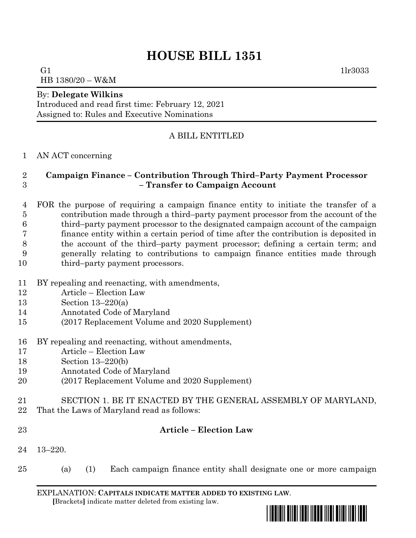# **HOUSE BILL 1351**

G1  $1\text{lr}3033$ HB 1380/20 – W&M

#### By: **Delegate Wilkins**

Introduced and read first time: February 12, 2021 Assigned to: Rules and Executive Nominations

## A BILL ENTITLED

### AN ACT concerning

## **Campaign Finance – Contribution Through Third–Party Payment Processor – Transfer to Campaign Account**

 FOR the purpose of requiring a campaign finance entity to initiate the transfer of a contribution made through a third–party payment processor from the account of the third–party payment processor to the designated campaign account of the campaign finance entity within a certain period of time after the contribution is deposited in the account of the third–party payment processor; defining a certain term; and generally relating to contributions to campaign finance entities made through 10 third–party payment processors.

- BY repealing and reenacting, with amendments,
- Article Election Law
- Section 13–220(a)
- Annotated Code of Maryland
- (2017 Replacement Volume and 2020 Supplement)
- BY repealing and reenacting, without amendments,
- Article Election Law
- Section 13–220(b)
- Annotated Code of Maryland
- (2017 Replacement Volume and 2020 Supplement)
- SECTION 1. BE IT ENACTED BY THE GENERAL ASSEMBLY OF MARYLAND,
- That the Laws of Maryland read as follows:
- 

#### **Article – Election Law**

- 13–220.
- (a) (1) Each campaign finance entity shall designate one or more campaign

EXPLANATION: **CAPITALS INDICATE MATTER ADDED TO EXISTING LAW**.  **[**Brackets**]** indicate matter deleted from existing law.

\*hb1351\*